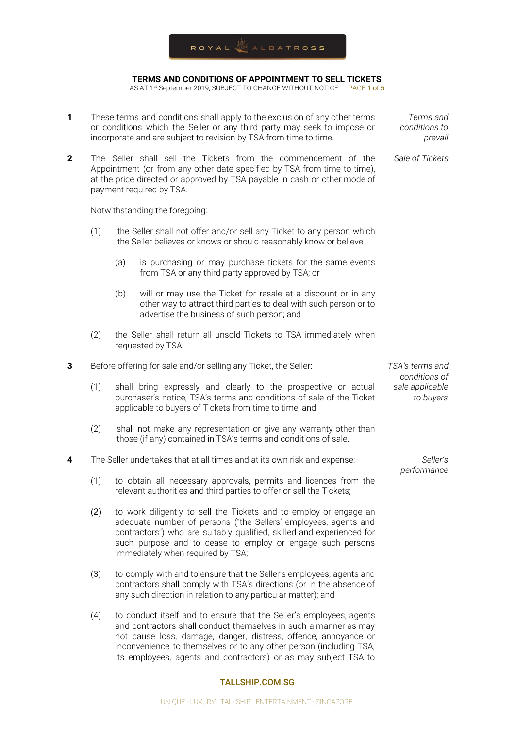

AS AT 1<sup>st</sup> September 2019, SUBJECT TO CHANGE WITHOUT NOTICE PAGE 1 of 5

- **1** These terms and conditions shall apply to the exclusion of any other terms or conditions which the Seller or any third party may seek to impose or incorporate and are subject to revision by TSA from time to time.
- **2** The Seller shall sell the Tickets from the commencement of the Appointment (or from any other date specified by TSA from time to time), at the price directed or approved by TSA payable in cash or other mode of payment required by TSA.

Notwithstanding the foregoing:

- (1) the Seller shall not offer and/or sell any Ticket to any person which the Seller believes or knows or should reasonably know or believe
	- (a) is purchasing or may purchase tickets for the same events from TSA or any third party approved by TSA; or
	- (b) will or may use the Ticket for resale at a discount or in any other way to attract third parties to deal with such person or to advertise the business of such person; and
- (2) the Seller shall return all unsold Tickets to TSA immediately when requested by TSA.
- **3** Before offering for sale and/or selling any Ticket, the Seller:
	- (1) shall bring expressly and clearly to the prospective or actual purchaser's notice, TSA's terms and conditions of sale of the Ticket applicable to buyers of Tickets from time to time; and
	- (2) shall not make any representation or give any warranty other than those (if any) contained in TSA's terms and conditions of sale.
- **4** The Seller undertakes that at all times and at its own risk and expense:
	- (1) to obtain all necessary approvals, permits and licences from the relevant authorities and third parties to offer or sell the Tickets;
	- (2) to work diligently to sell the Tickets and to employ or engage an adequate number of persons ("the Sellers' employees, agents and contractors") who are suitably qualified, skilled and experienced for such purpose and to cease to employ or engage such persons immediately when required by TSA;
	- (3) to comply with and to ensure that the Seller's employees, agents and contractors shall comply with TSA's directions (or in the absence of any such direction in relation to any particular matter); and
	- (4) to conduct itself and to ensure that the Seller's employees, agents and contractors shall conduct themselves in such a manner as may not cause loss, damage, danger, distress, offence, annoyance or inconvenience to themselves or to any other person (including TSA, its employees, agents and contractors) or as may subject TSA to

#### TALLSHIP.COM.SG

*TSA's terms and conditions of sale applicable to buyers*

> *Seller's performance*

*Terms and conditions to prevail*

*Sale of Tickets*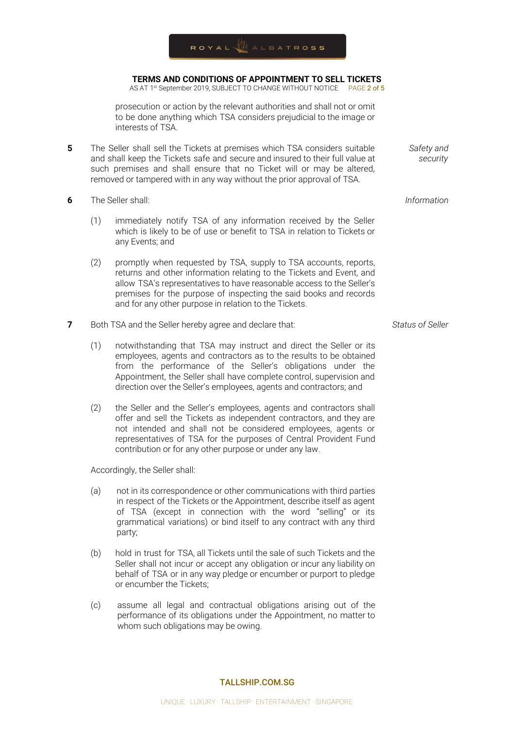AS AT 1<sup>st</sup> September 2019, SUBJECT TO CHANGE WITHOUT NOTICE PAGE 2 of 5

prosecution or action by the relevant authorities and shall not or omit to be done anything which TSA considers prejudicial to the image or interests of TSA.

- **5** The Seller shall sell the Tickets at premises which TSA considers suitable and shall keep the Tickets safe and secure and insured to their full value at such premises and shall ensure that no Ticket will or may be altered, removed or tampered with in any way without the prior approval of TSA.
- **6** The Seller shall:
	- (1) immediately notify TSA of any information received by the Seller which is likely to be of use or benefit to TSA in relation to Tickets or any Events; and
	- (2) promptly when requested by TSA, supply to TSA accounts, reports, returns and other information relating to the Tickets and Event, and allow TSA's representatives to have reasonable access to the Seller's premises for the purpose of inspecting the said books and records and for any other purpose in relation to the Tickets.
- **7** Both TSA and the Seller hereby agree and declare that:
	- (1) notwithstanding that TSA may instruct and direct the Seller or its employees, agents and contractors as to the results to be obtained from the performance of the Seller's obligations under the Appointment, the Seller shall have complete control, supervision and direction over the Seller's employees, agents and contractors; and
	- (2) the Seller and the Seller's employees, agents and contractors shall offer and sell the Tickets as independent contractors, and they are not intended and shall not be considered employees, agents or representatives of TSA for the purposes of Central Provident Fund contribution or for any other purpose or under any law.

Accordingly, the Seller shall:

- (a) not in its correspondence or other communications with third parties in respect of the Tickets or the Appointment, describe itself as agent of TSA (except in connection with the word "selling" or its grammatical variations) or bind itself to any contract with any third party;
- (b) hold in trust for TSA, all Tickets until the sale of such Tickets and the Seller shall not incur or accept any obligation or incur any liability on behalf of TSA or in any way pledge or encumber or purport to pledge or encumber the Tickets;
- (c) assume all legal and contractual obligations arising out of the performance of its obligations under the Appointment, no matter to whom such obligations may be owing.

### *Information*

*Safety and security*

*Status of Seller*

#### TALLSHIP.COM.SG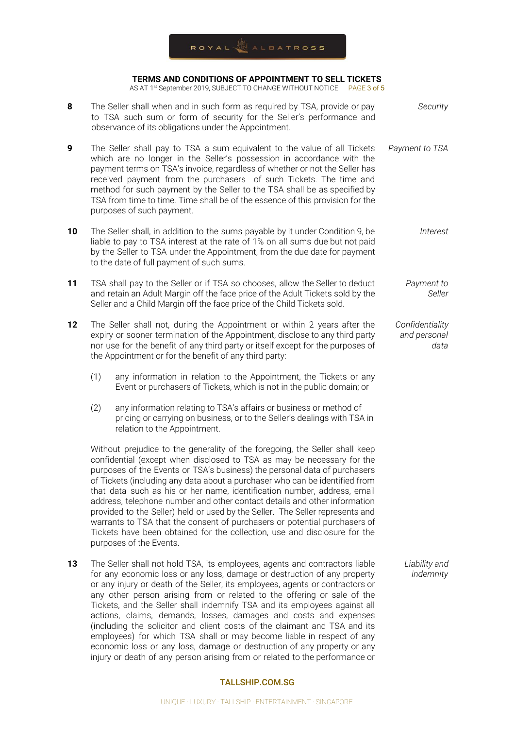AS AT 1<sup>st</sup> September 2019, SUBJECT TO CHANGE WITHOUT NOTICE PAGE 3 of 5

| 8  | The Seller shall when and in such form as required by TSA, provide or pay<br>to TSA such sum or form of security for the Seller's performance and<br>observance of its obligations under the Appointment.                                                                                                                                                                                                                                                                                                                                                                                                                                                                                                                                        | Security                                |
|----|--------------------------------------------------------------------------------------------------------------------------------------------------------------------------------------------------------------------------------------------------------------------------------------------------------------------------------------------------------------------------------------------------------------------------------------------------------------------------------------------------------------------------------------------------------------------------------------------------------------------------------------------------------------------------------------------------------------------------------------------------|-----------------------------------------|
| 9  | The Seller shall pay to TSA a sum equivalent to the value of all Tickets<br>which are no longer in the Seller's possession in accordance with the<br>payment terms on TSA's invoice, regardless of whether or not the Seller has<br>received payment from the purchasers of such Tickets. The time and<br>method for such payment by the Seller to the TSA shall be as specified by<br>TSA from time to time. Time shall be of the essence of this provision for the<br>purposes of such payment.                                                                                                                                                                                                                                                | Payment to TSA                          |
| 10 | The Seller shall, in addition to the sums payable by it under Condition 9, be<br>liable to pay to TSA interest at the rate of 1% on all sums due but not paid<br>by the Seller to TSA under the Appointment, from the due date for payment<br>to the date of full payment of such sums.                                                                                                                                                                                                                                                                                                                                                                                                                                                          | Interest                                |
| 11 | TSA shall pay to the Seller or if TSA so chooses, allow the Seller to deduct<br>and retain an Adult Margin off the face price of the Adult Tickets sold by the<br>Seller and a Child Margin off the face price of the Child Tickets sold.                                                                                                                                                                                                                                                                                                                                                                                                                                                                                                        | Payment to<br>Seller                    |
| 12 | The Seller shall not, during the Appointment or within 2 years after the<br>expiry or sooner termination of the Appointment, disclose to any third party<br>nor use for the benefit of any third party or itself except for the purposes of<br>the Appointment or for the benefit of any third party:                                                                                                                                                                                                                                                                                                                                                                                                                                            | Confidentiality<br>and personal<br>data |
|    | (1)<br>any information in relation to the Appointment, the Tickets or any<br>Event or purchasers of Tickets, which is not in the public domain; or                                                                                                                                                                                                                                                                                                                                                                                                                                                                                                                                                                                               |                                         |
|    | (2)<br>any information relating to TSA's affairs or business or method of<br>pricing or carrying on business, or to the Seller's dealings with TSA in<br>relation to the Appointment.                                                                                                                                                                                                                                                                                                                                                                                                                                                                                                                                                            |                                         |
|    | Without prejudice to the generality of the foregoing, the Seller shall keep<br>confidential (except when disclosed to TSA as may be necessary for the<br>purposes of the Events or TSA's business) the personal data of purchasers<br>of Tickets (including any data about a purchaser who can be identified from<br>that data such as his or her name, identification number, address, email<br>address, telephone number and other contact details and other information<br>provided to the Seller) held or used by the Seller. The Seller represents and<br>warrants to TSA that the consent of purchasers or potential purchasers of<br>Tickets have been obtained for the collection, use and disclosure for the<br>purposes of the Events. |                                         |
| 13 | The Seller shall not hold TSA, its employees, agents and contractors liable<br>for any economic loss or any loss, damage or destruction of any property<br>or any injury or death of the Seller, its employees, agents or contractors or<br>any other person arising from or related to the offering or sale of the<br>Tickets, and the Seller shall indemnify TSA and its employees against all<br>actions, claims, demands, losses, damages and costs and expenses                                                                                                                                                                                                                                                                             | Liability and<br>indemnity              |

### TALLSHIP.COM.SG

(including the solicitor and client costs of the claimant and TSA and its employees) for which TSA shall or may become liable in respect of any economic loss or any loss, damage or destruction of any property or any injury or death of any person arising from or related to the performance or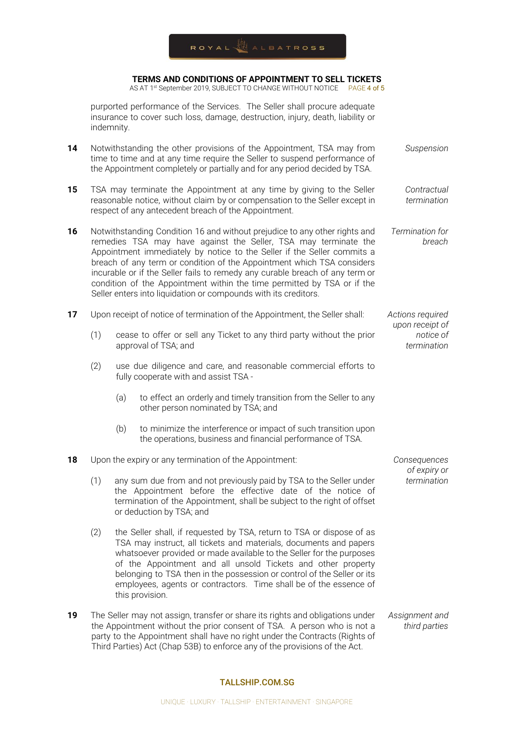AS AT 1<sup>st</sup> September 2019, SUBJECT TO CHANGE WITHOUT NOTICE PAGE 4 of 5

purported performance of the Services. The Seller shall procure adequate insurance to cover such loss, damage, destruction, injury, death, liability or indemnity.

- **14** Notwithstanding the other provisions of the Appointment, TSA may from time to time and at any time require the Seller to suspend performance of the Appointment completely or partially and for any period decided by TSA. *Suspension*
- **15** TSA may terminate the Appointment at any time by giving to the Seller reasonable notice, without claim by or compensation to the Seller except in respect of any antecedent breach of the Appointment. *Contractual termination*
- **16** Notwithstanding Condition 16 and without prejudice to any other rights and remedies TSA may have against the Seller, TSA may terminate the Appointment immediately by notice to the Seller if the Seller commits a breach of any term or condition of the Appointment which TSA considers incurable or if the Seller fails to remedy any curable breach of any term or condition of the Appointment within the time permitted by TSA or if the Seller enters into liquidation or compounds with its creditors. *Termination for breach*

*Actions required upon receipt of notice of termination*

*Consequences of expiry or termination*

- **17** Upon receipt of notice of termination of the Appointment, the Seller shall:
	- (1) cease to offer or sell any Ticket to any third party without the prior approval of TSA; and
	- (2) use due diligence and care, and reasonable commercial efforts to fully cooperate with and assist TSA -
		- (a) to effect an orderly and timely transition from the Seller to any other person nominated by TSA; and
		- (b) to minimize the interference or impact of such transition upon the operations, business and financial performance of TSA.
- **18** Upon the expiry or any termination of the Appointment:
	- (1) any sum due from and not previously paid by TSA to the Seller under the Appointment before the effective date of the notice of termination of the Appointment, shall be subject to the right of offset or deduction by TSA; and
	- (2) the Seller shall, if requested by TSA, return to TSA or dispose of as TSA may instruct, all tickets and materials, documents and papers whatsoever provided or made available to the Seller for the purposes of the Appointment and all unsold Tickets and other property belonging to TSA then in the possession or control of the Seller or its employees, agents or contractors. Time shall be of the essence of this provision.
- **19** The Seller may not assign, transfer or share its rights and obligations under the Appointment without the prior consent of TSA. A person who is not a party to the Appointment shall have no right under the Contracts (Rights of Third Parties) Act (Chap 53B) to enforce any of the provisions of the Act. *Assignment and third parties*

#### TALLSHIP.COM.SG